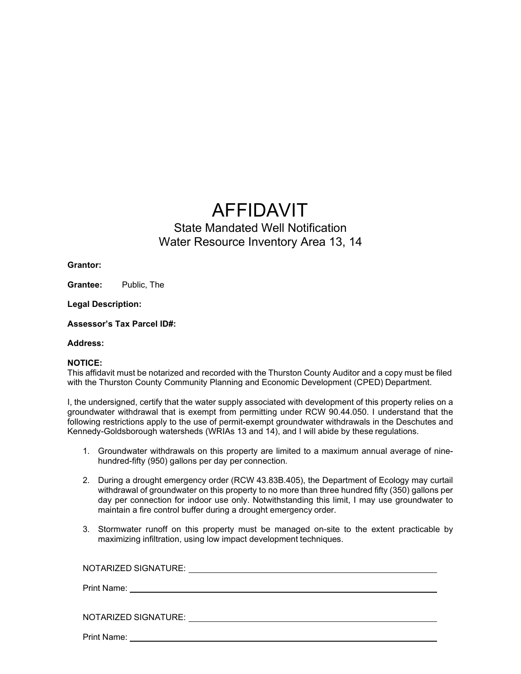## AFFIDAVIT

## State Mandated Well Notification Water Resource Inventory Area 13, 14

**Grantor:**

**Grantee:** Public, The

**Legal Description:**

**Assessor's Tax Parcel ID#:**

**Address:**

## **NOTICE:**

This affidavit must be notarized and recorded with the Thurston County Auditor and a copy must be filed with the Thurston County Community Planning and Economic Development (CPED) Department.

I, the undersigned, certify that the water supply associated with development of this property relies on a groundwater withdrawal that is exempt from permitting under RCW 90.44.050. I understand that the following restrictions apply to the use of permit-exempt groundwater withdrawals in the Deschutes and Kennedy-Goldsborough watersheds (WRIAs 13 and 14), and I will abide by these regulations.

- 1. Groundwater withdrawals on this property are limited to a maximum annual average of ninehundred-fifty (950) gallons per day per connection.
- 2. During a drought emergency order (RCW 43.83B.405), the Department of Ecology may curtail withdrawal of groundwater on this property to no more than three hundred fifty (350) gallons per day per connection for indoor use only. Notwithstanding this limit, I may use groundwater to maintain a fire control buffer during a drought emergency order.
- 3. Stormwater runoff on this property must be managed on-site to the extent practicable by maximizing infiltration, using low impact development techniques.

| NOTARIZED SIGNATURE: |  |
|----------------------|--|
| Print Name:          |  |
|                      |  |
| NOTARIZED SIGNATURE: |  |
|                      |  |

Print Name: